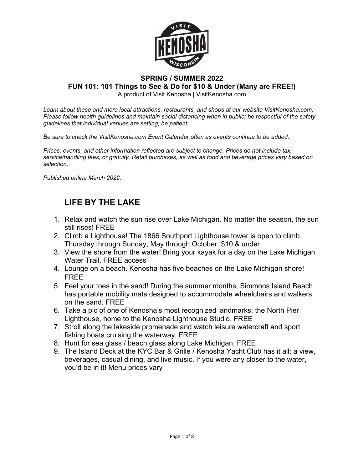

#### **SPRING / SUMMER 2022 FUN 101: 101 Things to See & Do for \$10 & Under (Many are FREE!)**

A product of Visit Kenosha | VisitKenosha.com

*Learn about these and more local attractions, restaurants, and shops at our website VisitKenosha.com. Please follow health guidelines and maintain social distancing when in public; be respectful of the safety guidelines that individual venues are setting; be patient.*

*Be sure to check the VisitKenosha.com Event Calendar often as events continue to be added.*

*Prices, events, and other information reflected are subject to change. Prices do not include tax, service/handling fees, or gratuity. Retail purchases, as well as food and beverage prices vary based on selection.*

*Published online March 2022.*

## **LIFE BY THE LAKE**

- 1. Relax and watch the sun rise over Lake Michigan. No matter the season, the sun still rises! FREE
- 2. Climb a Lighthouse! The 1866 Southport Lighthouse tower is open to climb Thursday through Sunday, May through October. \$10 & under
- 3. View the shore from the water! Bring your kayak for a day on the Lake Michigan Water Trail. FREE access
- 4. Lounge on a beach. Kenosha has five beaches on the Lake Michigan shore! FREE
- 5. Feel your toes in the sand! During the summer months, Simmons Island Beach has portable mobility mats designed to accommodate wheelchairs and walkers on the sand. FREE
- 6. Take a pic of one of Kenosha's most recognized landmarks: the North Pier Lighthouse, home to the Kenosha Lighthouse Studio. FREE
- 7. Stroll along the lakeside promenade and watch leisure watercraft and sport fishing boats cruising the waterway. FREE
- 8. Hunt for sea glass / beach glass along Lake Michigan. FREE
- 9. The Island Deck at the KYC Bar & Grille / Kenosha Yacht Club has it all: a view, beverages, casual dining, and live music. If you were any closer to the water, you'd be in it! Menu prices vary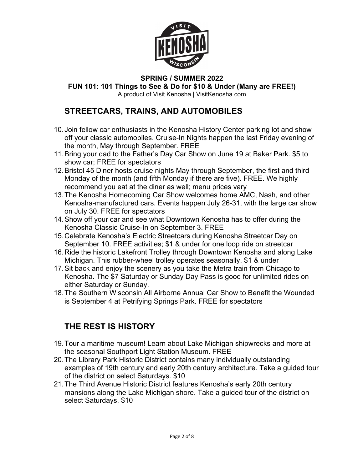

**FUN 101: 101 Things to See & Do for \$10 & Under (Many are FREE!)**

A product of Visit Kenosha | VisitKenosha.com

### **STREETCARS, TRAINS, AND AUTOMOBILES**

- 10.Join fellow car enthusiasts in the Kenosha History Center parking lot and show off your classic automobiles. Cruise-In Nights happen the last Friday evening of the month, May through September. FREE
- 11.Bring your dad to the Father's Day Car Show on June 19 at Baker Park. \$5 to show car; FREE for spectators
- 12.Bristol 45 Diner hosts cruise nights May through September, the first and third Monday of the month (and fifth Monday if there are five). FREE. We highly recommend you eat at the diner as well; menu prices vary
- 13.The Kenosha Homecoming Car Show welcomes home AMC, Nash, and other Kenosha-manufactured cars. Events happen July 26-31, with the large car show on July 30. FREE for spectators
- 14.Show off your car and see what Downtown Kenosha has to offer during the Kenosha Classic Cruise-In on September 3. FREE
- 15.Celebrate Kenosha's Electric Streetcars during Kenosha Streetcar Day on September 10. FREE activities; \$1 & under for one loop ride on streetcar
- 16.Ride the historic Lakefront Trolley through Downtown Kenosha and along Lake Michigan. This rubber-wheel trolley operates seasonally. \$1 & under
- 17.Sit back and enjoy the scenery as you take the Metra train from Chicago to Kenosha. The \$7 Saturday or Sunday Day Pass is good for unlimited rides on either Saturday or Sunday.
- 18.The Southern Wisconsin All Airborne Annual Car Show to Benefit the Wounded is September 4 at Petrifying Springs Park. FREE for spectators

## **THE REST IS HISTORY**

- 19.Tour a maritime museum! Learn about Lake Michigan shipwrecks and more at the seasonal Southport Light Station Museum. FREE
- 20.The Library Park Historic District contains many individually outstanding examples of 19th century and early 20th century architecture. Take a guided tour of the district on select Saturdays. \$10
- 21.The Third Avenue Historic District features Kenosha's early 20th century mansions along the Lake Michigan shore. Take a guided tour of the district on select Saturdays. \$10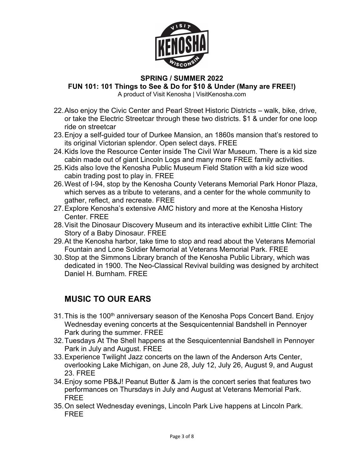

**FUN 101: 101 Things to See & Do for \$10 & Under (Many are FREE!)**

A product of Visit Kenosha | VisitKenosha.com

- 22.Also enjoy the Civic Center and Pearl Street Historic Districts walk, bike, drive, or take the Electric Streetcar through these two districts. \$1 & under for one loop ride on streetcar
- 23.Enjoy a self-guided tour of Durkee Mansion, an 1860s mansion that's restored to its original Victorian splendor. Open select days. FREE
- 24.Kids love the Resource Center inside The Civil War Museum. There is a kid size cabin made out of giant Lincoln Logs and many more FREE family activities.
- 25.Kids also love the Kenosha Public Museum Field Station with a kid size wood cabin trading post to play in. FREE
- 26.West of I-94, stop by the Kenosha County Veterans Memorial Park Honor Plaza, which serves as a tribute to veterans, and a center for the whole community to gather, reflect, and recreate. FREE
- 27.Explore Kenosha's extensive AMC history and more at the Kenosha History Center. FREE
- 28.Visit the Dinosaur Discovery Museum and its interactive exhibit Little Clint: The Story of a Baby Dinosaur. FREE
- 29.At the Kenosha harbor, take time to stop and read about the Veterans Memorial Fountain and Lone Soldier Memorial at Veterans Memorial Park. FREE
- 30.Stop at the Simmons Library branch of the Kenosha Public Library, which was dedicated in 1900. The Neo-Classical Revival building was designed by architect Daniel H. Burnham. FREE

## **MUSIC TO OUR EARS**

- 31. This is the 100<sup>th</sup> anniversary season of the Kenosha Pops Concert Band. Enjoy Wednesday evening concerts at the Sesquicentennial Bandshell in Pennoyer Park during the summer. FREE
- 32.Tuesdays At The Shell happens at the Sesquicentennial Bandshell in Pennoyer Park in July and August. FREE
- 33.Experience Twilight Jazz concerts on the lawn of the Anderson Arts Center, overlooking Lake Michigan, on June 28, July 12, July 26, August 9, and August 23. FREE
- 34.Enjoy some PB&J! Peanut Butter & Jam is the concert series that features two performances on Thursdays in July and August at Veterans Memorial Park. FREE
- 35.On select Wednesday evenings, Lincoln Park Live happens at Lincoln Park. FREE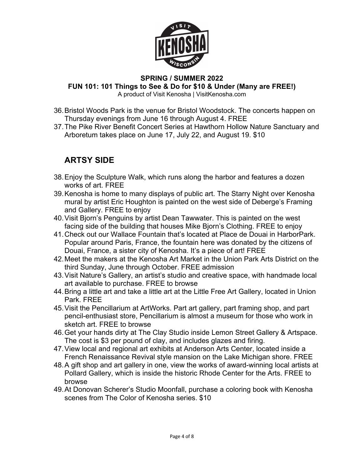

#### **SPRING / SUMMER 2022 FUN 101: 101 Things to See & Do for \$10 & Under (Many are FREE!)** A product of Visit Kenosha | VisitKenosha.com

- 36.Bristol Woods Park is the venue for Bristol Woodstock. The concerts happen on Thursday evenings from June 16 through August 4. FREE
- 37.The Pike River Benefit Concert Series at Hawthorn Hollow Nature Sanctuary and Arboretum takes place on June 17, July 22, and August 19. \$10

## **ARTSY SIDE**

- 38.Enjoy the Sculpture Walk, which runs along the harbor and features a dozen works of art. FREE
- 39.Kenosha is home to many displays of public art. The Starry Night over Kenosha mural by artist Eric Houghton is painted on the west side of Deberge's Framing and Gallery. FREE to enjoy
- 40.Visit Bjorn's Penguins by artist Dean Tawwater. This is painted on the west facing side of the building that houses Mike Bjorn's Clothing. FREE to enjoy
- 41.Check out our Wallace Fountain that's located at Place de Douai in HarborPark. Popular around Paris, France, the fountain here was donated by the citizens of Douai, France, a sister city of Kenosha. It's a piece of art! FREE
- 42.Meet the makers at the Kenosha Art Market in the Union Park Arts District on the third Sunday, June through October. FREE admission
- 43.Visit Nature's Gallery, an artist's studio and creative space, with handmade local art available to purchase. FREE to browse
- 44.Bring a little art and take a little art at the Little Free Art Gallery, located in Union Park. FREE
- 45.Visit the Pencillarium at ArtWorks. Part art gallery, part framing shop, and part pencil-enthusiast store, Pencillarium is almost a museum for those who work in sketch art. FREE to browse
- 46.Get your hands dirty at The Clay Studio inside Lemon Street Gallery & Artspace. The cost is \$3 per pound of clay, and includes glazes and firing.
- 47.View local and regional art exhibits at Anderson Arts Center, located inside a French Renaissance Revival style mansion on the Lake Michigan shore. FREE
- 48.A gift shop and art gallery in one, view the works of award-winning local artists at Pollard Gallery, which is inside the historic Rhode Center for the Arts. FREE to browse
- 49.At Donovan Scherer's Studio Moonfall, purchase a coloring book with Kenosha scenes from The Color of Kenosha series. \$10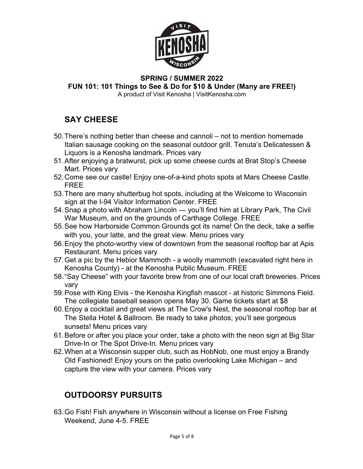

#### **SPRING / SUMMER 2022 FUN 101: 101 Things to See & Do for \$10 & Under (Many are FREE!)**

A product of Visit Kenosha | VisitKenosha.com

# **SAY CHEESE**

- 50.There's nothing better than cheese and cannoli not to mention homemade Italian sausage cooking on the seasonal outdoor grill. Tenuta's Delicatessen & Liquors is a Kenosha landmark. Prices vary
- 51.After enjoying a bratwurst, pick up some cheese curds at Brat Stop's Cheese Mart. Prices vary
- 52.Come see our castle! Enjoy one-of-a-kind photo spots at Mars Cheese Castle. FREE
- 53.There are many shutterbug hot spots, including at the Welcome to Wisconsin sign at the I-94 Visitor Information Center. FREE
- 54.Snap a photo with Abraham Lincoln you'll find him at Library Park, The Civil War Museum, and on the grounds of Carthage College. FREE
- 55.See how Harborside Common Grounds got its name! On the deck, take a selfie with you, your latte, and the great view. Menu prices vary
- 56.Enjoy the photo-worthy view of downtown from the seasonal rooftop bar at Apis Restaurant. Menu prices vary
- 57.Get a pic by the Hebior Mammoth a woolly mammoth (excavated right here in Kenosha County) - at the Kenosha Public Museum. FREE
- 58."Say Cheese" with your favorite brew from one of our local craft breweries. Prices vary
- 59.Pose with King Elvis the Kenosha Kingfish mascot at historic Simmons Field. The collegiate baseball season opens May 30. Game tickets start at \$8
- 60.Enjoy a cocktail and great views at The Crow's Nest, the seasonal rooftop bar at The Stella Hotel & Ballroom. Be ready to take photos; you'll see gorgeous sunsets! Menu prices vary
- 61.Before or after you place your order, take a photo with the neon sign at Big Star Drive-In or The Spot Drive-In. Menu prices vary
- 62.When at a Wisconsin supper club, such as HobNob, one must enjoy a Brandy Old Fashioned! Enjoy yours on the patio overlooking Lake Michigan – and capture the view with your camera. Prices vary

# **OUTDOORSY PURSUITS**

63.Go Fish! Fish anywhere in Wisconsin without a license on Free Fishing Weekend, June 4-5. FREE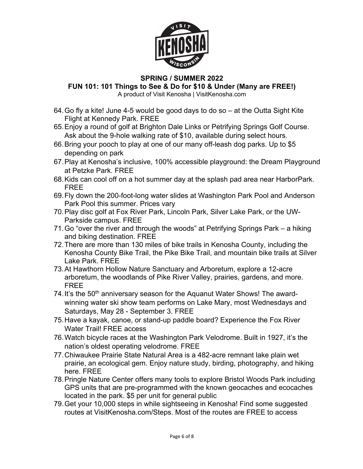

**FUN 101: 101 Things to See & Do for \$10 & Under (Many are FREE!)**

A product of Visit Kenosha | VisitKenosha.com

- 64.Go fly a kite! June 4-5 would be good days to do so at the Outta Sight Kite Flight at Kennedy Park. FREE
- 65.Enjoy a round of golf at Brighton Dale Links or Petrifying Springs Golf Course. Ask about the 9-hole walking rate of \$10, available during select hours.
- 66.Bring your pooch to play at one of our many off-leash dog parks. Up to \$5 depending on park
- 67.Play at Kenosha's inclusive, 100% accessible playground: the Dream Playground at Petzke Park. FREE
- 68.Kids can cool off on a hot summer day at the splash pad area near HarborPark. FREE
- 69.Fly down the 200-foot-long water slides at Washington Park Pool and Anderson Park Pool this summer. Prices vary
- 70.Play disc golf at Fox River Park, Lincoln Park, Silver Lake Park, or the UW-Parkside campus. FREE
- 71.Go "over the river and through the woods" at Petrifying Springs Park a hiking and biking destination. FREE
- 72.There are more than 130 miles of bike trails in Kenosha County, including the Kenosha County Bike Trail, the Pike Bike Trail, and mountain bike trails at Silver Lake Park. FREE
- 73.At Hawthorn Hollow Nature Sanctuary and Arboretum, explore a 12-acre arboretum, the woodlands of Pike River Valley, prairies, gardens, and more. FREE
- 74. It's the 50<sup>th</sup> anniversary season for the Aquanut Water Shows! The awardwinning water ski show team performs on Lake Mary, most Wednesdays and Saturdays, May 28 - September 3. FREE
- 75.Have a kayak, canoe, or stand-up paddle board? Experience the Fox River Water Trail! FREE access
- 76.Watch bicycle races at the Washington Park Velodrome. Built in 1927, it's the nation's oldest operating velodrome. FREE
- 77.Chiwaukee Prairie State Natural Area is a 482-acre remnant lake plain wet prairie, an ecological gem. Enjoy nature study, birding, photography, and hiking here. FREE
- 78.Pringle Nature Center offers many tools to explore Bristol Woods Park including GPS units that are pre-programmed with the known geocaches and ecocaches located in the park. \$5 per unit for general public
- 79.Get your 10,000 steps in while sightseeing in Kenosha! Find some suggested routes at VisitKenosha.com/Steps. Most of the routes are FREE to access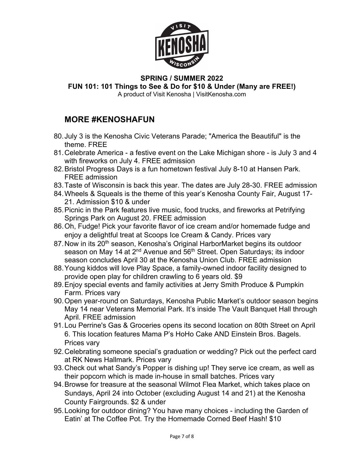

**FUN 101: 101 Things to See & Do for \$10 & Under (Many are FREE!)**

A product of Visit Kenosha | VisitKenosha.com

### **MORE #KENOSHAFUN**

- 80.July 3 is the Kenosha Civic Veterans Parade; "America the Beautiful" is the theme. FREE
- 81.Celebrate America a festive event on the Lake Michigan shore is July 3 and 4 with fireworks on July 4. FREE admission
- 82.Bristol Progress Days is a fun hometown festival July 8-10 at Hansen Park. FREE admission
- 83.Taste of Wisconsin is back this year. The dates are July 28-30. FREE admission
- 84.Wheels & Squeals is the theme of this year's Kenosha County Fair, August 17- 21. Admission \$10 & under
- 85.Picnic in the Park features live music, food trucks, and fireworks at Petrifying Springs Park on August 20. FREE admission
- 86.Oh, Fudge! Pick your favorite flavor of ice cream and/or homemade fudge and enjoy a delightful treat at Scoops Ice Cream & Candy. Prices vary
- 87. Now in its 20<sup>th</sup> season, Kenosha's Original HarborMarket begins its outdoor season on May 14 at 2<sup>nd</sup> Avenue and 56<sup>th</sup> Street. Open Saturdays; its indoor season concludes April 30 at the Kenosha Union Club. FREE admission
- 88.Young kiddos will love Play Space, a family-owned indoor facility designed to provide open play for children crawling to 6 years old. \$9
- 89.Enjoy special events and family activities at Jerry Smith Produce & Pumpkin Farm. Prices vary
- 90.Open year-round on Saturdays, Kenosha Public Market's outdoor season begins May 14 near Veterans Memorial Park. It's inside The Vault Banquet Hall through April. FREE admission
- 91.Lou Perrine's Gas & Groceries opens its second location on 80th Street on April 6. This location features Mama P's HoHo Cake AND Einstein Bros. Bagels. Prices vary
- 92.Celebrating someone special's graduation or wedding? Pick out the perfect card at RK News Hallmark. Prices vary
- 93.Check out what Sandy's Popper is dishing up! They serve ice cream, as well as their popcorn which is made in-house in small batches. Prices vary
- 94.Browse for treasure at the seasonal Wilmot Flea Market, which takes place on Sundays, April 24 into October (excluding August 14 and 21) at the Kenosha County Fairgrounds. \$2 & under
- 95.Looking for outdoor dining? You have many choices including the Garden of Eatin' at The Coffee Pot. Try the Homemade Corned Beef Hash! \$10